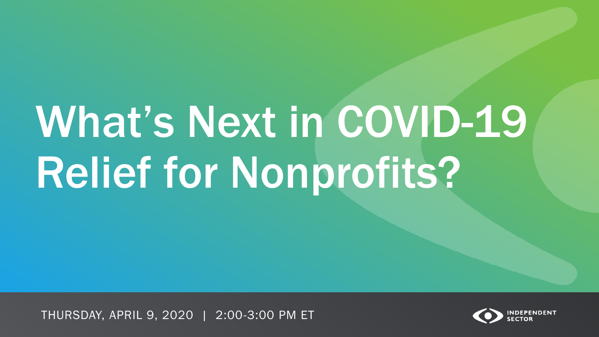# What's Next in COVID-19 Relief for Nonprofits?

THURSDAY, APRIL 9, 2020 | 2:00-3:00 PM ET

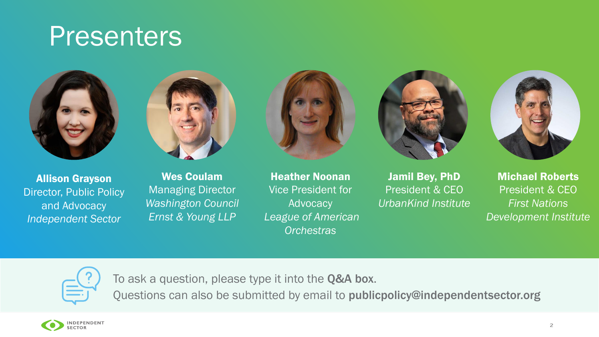# **Presenters**





Allison Grayson Director, Public Policy and Advocacy *Independent Sector*

Wes Coulam Managing Director *Washington Council Ernst & Young LLP*



Heather Noonan Vice President for **Advocacy** *League of American Orchestras*



Jamil Bey, PhD President & CEO *UrbanKind Institute*



Michael Roberts President & CEO *First Nations Development Institute*



To ask a question, please type it into the Q&A box.

Questions can also be submitted by email to publicpolicy@independentsector.org

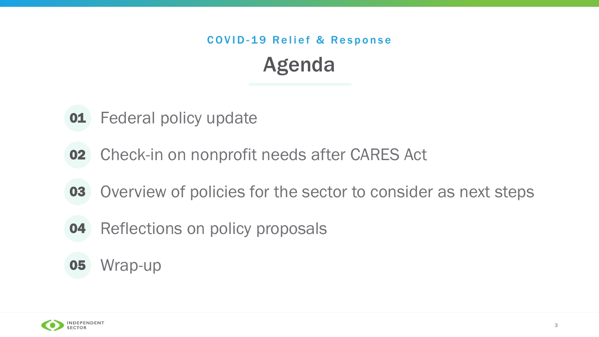## Agenda COVID-19 Relief & Response

- **01** Federal policy update
- Check-in on nonprofit needs after CARES Act 02
- Overview of policies for the sector to consider as next steps 03
- Reflections on policy proposals 04

#### Wrap-up 05

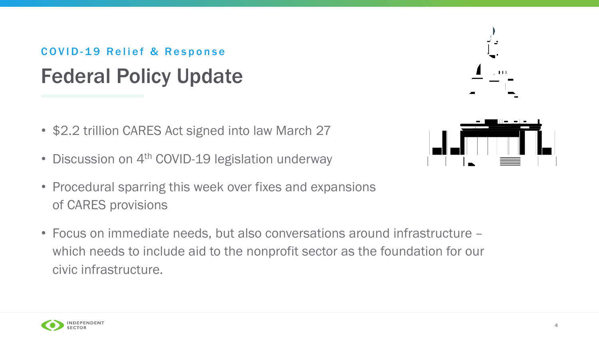### Federal Policy Update COVID-19 Relief & Response

- \$2.2 trillion CARES Act signed into law March 27
- Discussion on 4<sup>th</sup> COVID-19 legislation underway
- Procedural sparring this week over fixes and expansions of CARES provisions
- Focus on immediate needs, but also conversations around infrastructure which needs to include aid to the nonprofit sector as the foundation for our civic infrastructure.



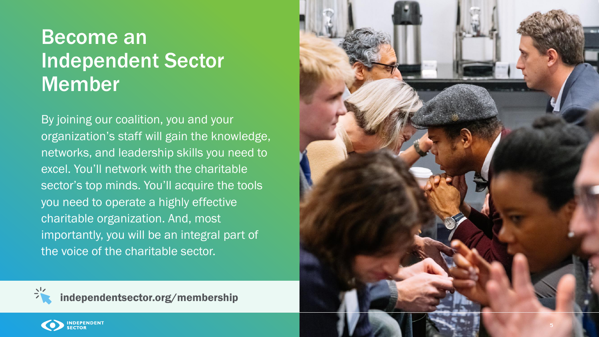# Become an Independent Sector Member

By joining our coalition, you and your organization's staff will gain the knowledge, networks, and leadership skills you need to excel. You'll network with the charitable sector's top minds. You'll acquire the tools you need to operate a highly effective charitable organization. And, most importantly, you will be an integral part of the voice of the charitable sector.





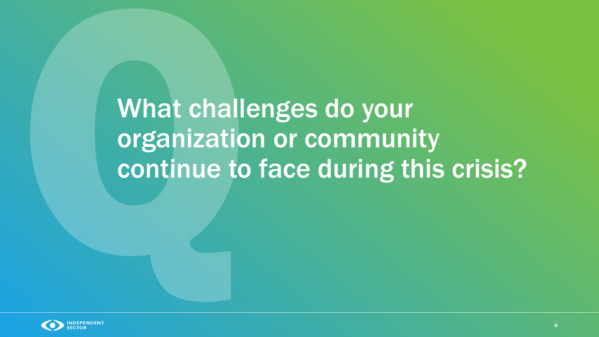What challenges do your organization or community continue to face during this crisis?

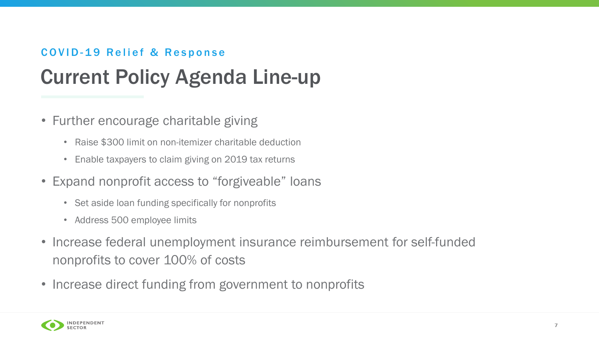#### COVID-19 Relief & Response

# Current Policy Agenda Line-up

- Further encourage charitable giving
	- Raise \$300 limit on non-itemizer charitable deduction
	- Enable taxpayers to claim giving on 2019 tax returns
- Expand nonprofit access to "forgiveable" loans
	- Set aside loan funding specifically for nonprofits
	- Address 500 employee limits
- Increase federal unemployment insurance reimbursement for self-funded nonprofits to cover 100% of costs
- Increase direct funding from government to nonprofits



7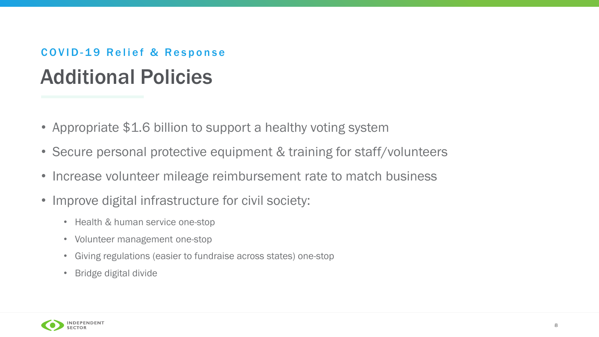### Additional Policies COVID-19 Relief & Response

- Appropriate \$1.6 billion to support a healthy voting system
- Secure personal protective equipment & training for staff/volunteers
- Increase volunteer mileage reimbursement rate to match business
- Improve digital infrastructure for civil society:
	- Health & human service one-stop
	- Volunteer management one-stop
	- Giving regulations (easier to fundraise across states) one-stop
	- Bridge digital divide



8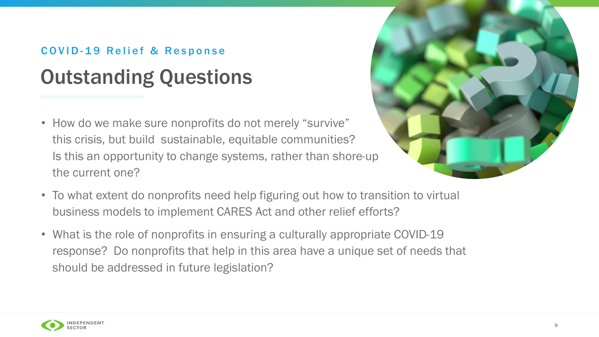### Outstanding Questions COVID-19 Relief & Response

• How do we make sure nonprofits do not merely "survive" this crisis, but build sustainable, equitable communities? Is this an opportunity to change systems, rather than shore-up the current one?



- To what extent do nonprofits need help figuring out how to transition to virtual business models to implement CARES Act and other relief efforts?
- What is the role of nonprofits in ensuring a culturally appropriate COVID-19 response? Do nonprofits that help in this area have a unique set of needs that should be addressed in future legislation?

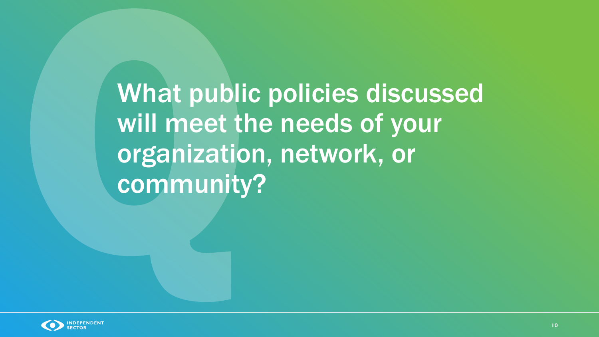What public policies discussed will meet the needs of your organization, network, or community?

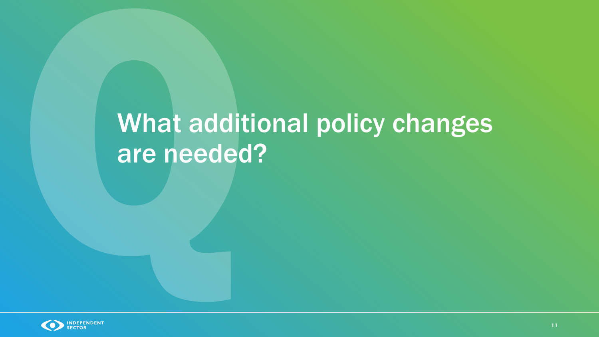# What additional policy changes are needed?